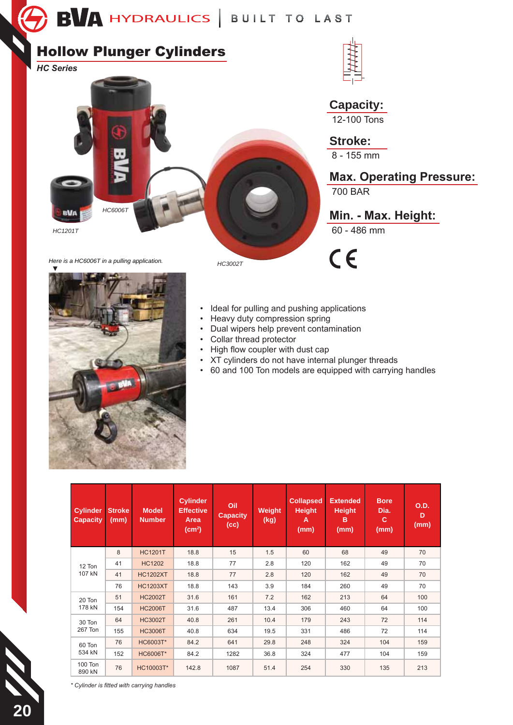## **Hollow Plunger Cylinders**

**HC Series** 



**Capacity:**  $\overline{12-100}$  Tons

**Stroke:** 

 $8 - 155$  mm

**Max. Operating Pressure:** 

**700 BAR** 

Min. - Max. Height:

 $60 - 486$  mm

 $C \in$ 



- Ideal for pulling and pushing applications
- · Heavy duty compression spring
- Dual wipers help prevent contamination
	- Collar thread protector

HC3002T

- High flow coupler with dust cap
- XT cylinders do not have internal plunger threads
- 60 and 100 Ton models are equipped with carrying handles

| <b>Cylinder</b><br><b>Capacity</b> | <b>Stroke</b><br>(mm) | <b>Model</b><br><b>Number</b> | <b>Cylinder</b><br><b>Effective</b><br>Area<br>$\text{(cm}^2\text{)}$ | Oil<br><b>Capacity</b><br>(cc) | Weight<br>(kg) | <b>Collapsed</b><br><b>Height</b><br>A<br>(mm) | <b>Extended</b><br><b>Height</b><br>B<br>(mm) | <b>Bore</b><br>Dia.<br>c<br>(mm) | <b>O.D.</b><br>D<br>(mm) |
|------------------------------------|-----------------------|-------------------------------|-----------------------------------------------------------------------|--------------------------------|----------------|------------------------------------------------|-----------------------------------------------|----------------------------------|--------------------------|
| 12 Ton<br>107 kN                   | 8                     | <b>HC1201T</b>                | 18.8                                                                  | 15                             | 1.5            | 60                                             | 68                                            | 49                               | 70                       |
|                                    | 41                    | <b>HC1202</b>                 | 18.8                                                                  | 77                             | 2.8            | 120                                            | 162                                           | 49                               | 70                       |
|                                    | 41                    | <b>HC1202XT</b>               | 18.8                                                                  | 77                             | 2.8            | 120                                            | 162                                           | 49                               | 70                       |
|                                    | 76                    | <b>HC1203XT</b>               | 18.8                                                                  | 143                            | 3.9            | 184                                            | 260                                           | 49                               | 70                       |
| 20 Ton<br>178 kN                   | 51                    | <b>HC2002T</b>                | 31.6                                                                  | 161                            | 7.2            | 162                                            | 213                                           | 64                               | 100                      |
|                                    | 154                   | <b>HC2006T</b>                | 31.6                                                                  | 487                            | 13.4           | 306                                            | 460                                           | 64                               | 100                      |
| 30 Ton<br>267 Ton                  | 64                    | <b>HC3002T</b>                | 40.8                                                                  | 261                            | 10.4           | 179                                            | 243                                           | 72                               | 114                      |
|                                    | 155                   | <b>HC3006T</b>                | 40.8                                                                  | 634                            | 19.5           | 331                                            | 486                                           | 72                               | 114                      |
| 60 Ton<br>534 kN                   | 76                    | HC6003T*                      | 84.2                                                                  | 641                            | 29.8           | 248                                            | 324                                           | 104                              | 159                      |
|                                    | 152                   | <b>HC6006T*</b>               | 84.2                                                                  | 1282                           | 36.8           | 324                                            | 477                                           | 104                              | 159                      |
| 100 Ton<br>890 kN                  | 76                    | HC10003T*                     | 142.8                                                                 | 1087                           | 51.4           | 254                                            | 330                                           | 135                              | 213                      |

\* Cylinder is fitted with carrying handles